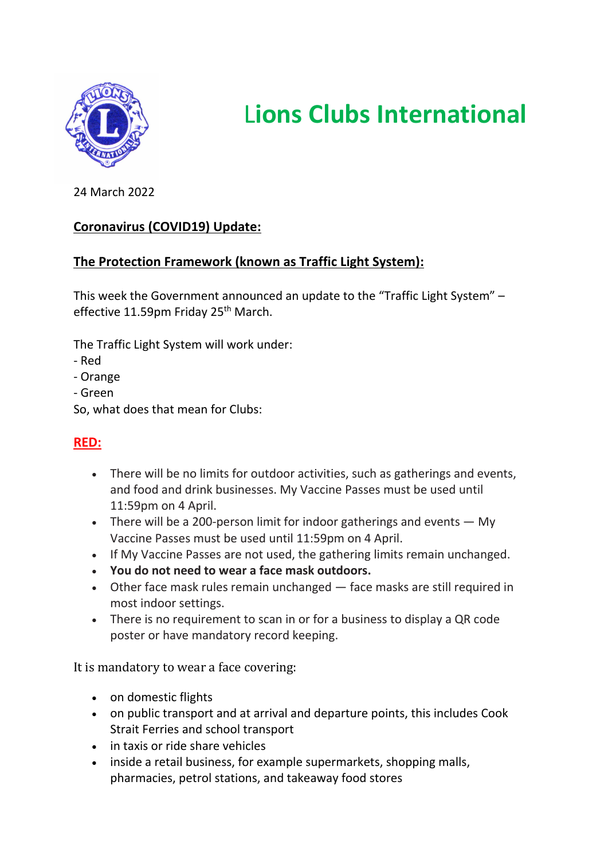

# L**ions Clubs International**

24 March 2022

# **Coronavirus (COVID19) Update:**

# **The Protection Framework (known as Traffic Light System):**

This week the Government announced an update to the "Traffic Light System" – effective 11.59pm Friday 25<sup>th</sup> March.

The Traffic Light System will work under:

- Red
- Orange
- Green
- So, what does that mean for Clubs:

# **RED:**

- There will be no limits for outdoor activities, such as gatherings and events, and food and drink businesses. My Vaccine Passes must be used until 11:59pm on 4 April.
- There will be a 200-person limit for indoor gatherings and events  $-$  My Vaccine Passes must be used until 11:59pm on 4 April.
- If My Vaccine Passes are not used, the gathering limits remain unchanged.
- **You do not need to wear a face mask outdoors.**
- Other face mask rules remain unchanged face masks are still required in most indoor settings.
- There is no requirement to scan in or for a business to display a QR code poster or have mandatory record keeping.

It is mandatory to wear a face covering:

- on domestic flights
- on public transport and at arrival and departure points, this includes Cook Strait Ferries and school transport
- in taxis or ride share vehicles
- inside a retail business, for example supermarkets, shopping malls, pharmacies, petrol stations, and takeaway food stores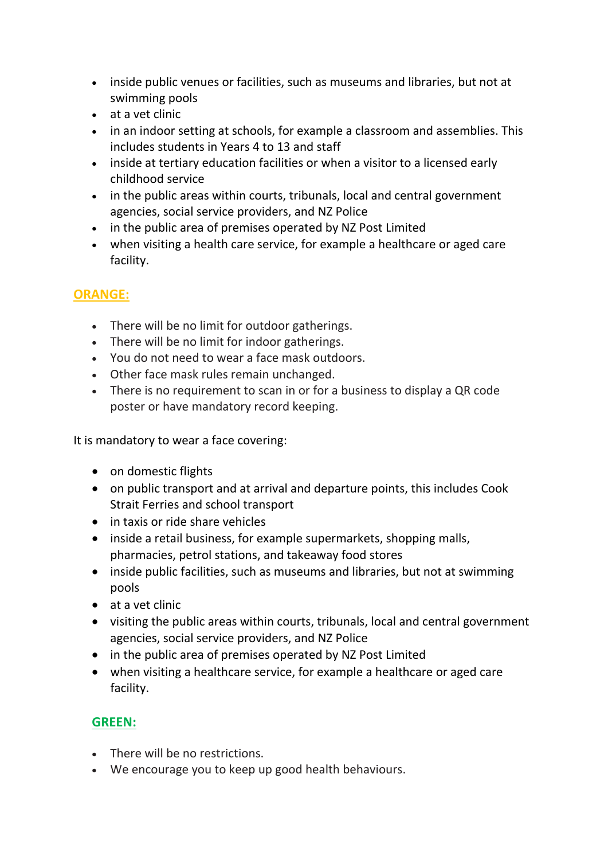- inside public venues or facilities, such as museums and libraries, but not at swimming pools
- at a vet clinic
- in an indoor setting at schools, for example a classroom and assemblies. This includes students in Years 4 to 13 and staff
- inside at tertiary education facilities or when a visitor to a licensed early childhood service
- in the public areas within courts, tribunals, local and central government agencies, social service providers, and NZ Police
- in the public area of premises operated by NZ Post Limited
- when visiting a health care service, for example a healthcare or aged care facility.

# **ORANGE:**

- There will be no limit for outdoor gatherings.
- There will be no limit for indoor gatherings.
- You do not need to wear a face mask outdoors.
- Other face mask rules remain unchanged.
- There is no requirement to scan in or for a business to display a QR code poster or have mandatory record keeping.

It is mandatory to wear a face covering:

- on domestic flights
- on public transport and at arrival and departure points, this includes Cook Strait Ferries and school transport
- in taxis or ride share vehicles
- inside a retail business, for example supermarkets, shopping malls, pharmacies, petrol stations, and takeaway food stores
- inside public facilities, such as museums and libraries, but not at swimming pools
- at a vet clinic
- visiting the public areas within courts, tribunals, local and central government agencies, social service providers, and NZ Police
- in the public area of premises operated by NZ Post Limited
- when visiting a healthcare service, for example a healthcare or aged care facility.

### **GREEN:**

- There will be no restrictions.
- We encourage you to keep up good health behaviours.